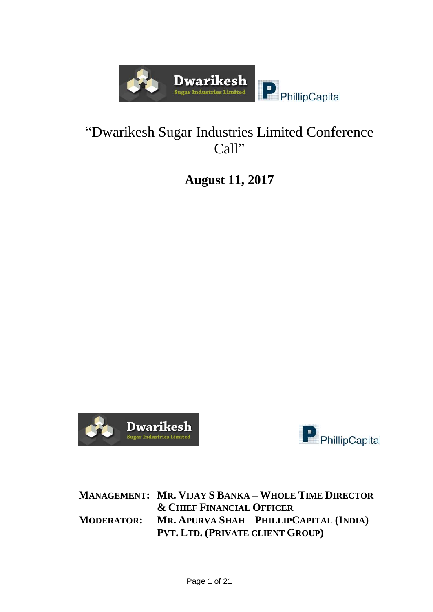

# "Dwarikesh Sugar Industries Limited Conference Call"

**August 11, 2017**





**MANAGEMENT: MR. VIJAY S BANKA – WHOLE TIME DIRECTOR & CHIEF FINANCIAL OFFICER MODERATOR: MR. APURVA SHAH – PHILLIPCAPITAL (INDIA) PVT. LTD. (PRIVATE CLIENT GROUP)**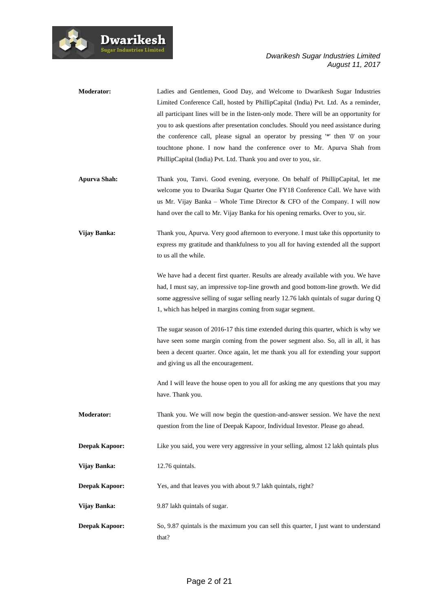

| <b>Moderator:</b>     | Ladies and Gentlemen, Good Day, and Welcome to Dwarikesh Sugar Industries<br>Limited Conference Call, hosted by PhillipCapital (India) Pvt. Ltd. As a reminder,<br>all participant lines will be in the listen-only mode. There will be an opportunity for<br>you to ask questions after presentation concludes. Should you need assistance during<br>the conference call, please signal an operator by pressing "*" then '0' on your<br>touchtone phone. I now hand the conference over to Mr. Apurva Shah from<br>PhillipCapital (India) Pvt. Ltd. Thank you and over to you, sir. |
|-----------------------|--------------------------------------------------------------------------------------------------------------------------------------------------------------------------------------------------------------------------------------------------------------------------------------------------------------------------------------------------------------------------------------------------------------------------------------------------------------------------------------------------------------------------------------------------------------------------------------|
| <b>Apurva Shah:</b>   | Thank you, Tanvi. Good evening, everyone. On behalf of PhillipCapital, let me<br>welcome you to Dwarika Sugar Quarter One FY18 Conference Call. We have with<br>us Mr. Vijay Banka – Whole Time Director & CFO of the Company. I will now<br>hand over the call to Mr. Vijay Banka for his opening remarks. Over to you, sir.                                                                                                                                                                                                                                                        |
| Vijay Banka:          | Thank you, Apurva. Very good afternoon to everyone. I must take this opportunity to<br>express my gratitude and thankfulness to you all for having extended all the support<br>to us all the while.                                                                                                                                                                                                                                                                                                                                                                                  |
|                       | We have had a decent first quarter. Results are already available with you. We have<br>had, I must say, an impressive top-line growth and good bottom-line growth. We did<br>some aggressive selling of sugar selling nearly 12.76 lakh quintals of sugar during Q<br>1, which has helped in margins coming from sugar segment.                                                                                                                                                                                                                                                      |
|                       | The sugar season of 2016-17 this time extended during this quarter, which is why we<br>have seen some margin coming from the power segment also. So, all in all, it has<br>been a decent quarter. Once again, let me thank you all for extending your support<br>and giving us all the encouragement.                                                                                                                                                                                                                                                                                |
|                       | And I will leave the house open to you all for asking me any questions that you may<br>have. Thank you.                                                                                                                                                                                                                                                                                                                                                                                                                                                                              |
| Moderator:            | Thank you. We will now begin the question-and-answer session. We have the next<br>question from the line of Deepak Kapoor, Individual Investor. Please go ahead.                                                                                                                                                                                                                                                                                                                                                                                                                     |
| Deepak Kapoor:        | Like you said, you were very aggressive in your selling, almost 12 lakh quintals plus                                                                                                                                                                                                                                                                                                                                                                                                                                                                                                |
| Vijay Banka:          | 12.76 quintals.                                                                                                                                                                                                                                                                                                                                                                                                                                                                                                                                                                      |
| Deepak Kapoor:        | Yes, and that leaves you with about 9.7 lakh quintals, right?                                                                                                                                                                                                                                                                                                                                                                                                                                                                                                                        |
| Vijay Banka:          | 9.87 lakh quintals of sugar.                                                                                                                                                                                                                                                                                                                                                                                                                                                                                                                                                         |
| <b>Deepak Kapoor:</b> | So, 9.87 quintals is the maximum you can sell this quarter, I just want to understand<br>that?                                                                                                                                                                                                                                                                                                                                                                                                                                                                                       |

Dwarikesh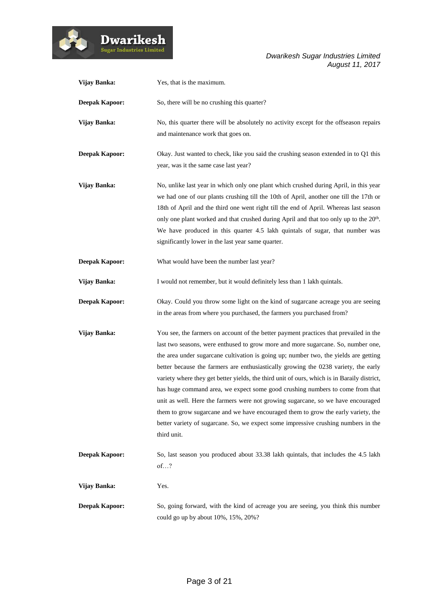

| Vijay Banka:          | Yes, that is the maximum.                                                                                                                                                       |
|-----------------------|---------------------------------------------------------------------------------------------------------------------------------------------------------------------------------|
| <b>Deepak Kapoor:</b> | So, there will be no crushing this quarter?                                                                                                                                     |
| Vijay Banka:          | No, this quarter there will be absolutely no activity except for the offseason repairs                                                                                          |
|                       | and maintenance work that goes on.                                                                                                                                              |
| <b>Deepak Kapoor:</b> | Okay. Just wanted to check, like you said the crushing season extended in to Q1 this                                                                                            |
|                       | year, was it the same case last year?                                                                                                                                           |
| Vijay Banka:          | No, unlike last year in which only one plant which crushed during April, in this year                                                                                           |
|                       | we had one of our plants crushing till the 10th of April, another one till the 17th or<br>18th of April and the third one went right till the end of April. Whereas last season |
|                       | only one plant worked and that crushed during April and that too only up to the 20 <sup>th</sup> .                                                                              |
|                       | We have produced in this quarter 4.5 lakh quintals of sugar, that number was                                                                                                    |
|                       | significantly lower in the last year same quarter.                                                                                                                              |
| <b>Deepak Kapoor:</b> | What would have been the number last year?                                                                                                                                      |
| Vijay Banka:          | I would not remember, but it would definitely less than 1 lakh quintals.                                                                                                        |
| <b>Deepak Kapoor:</b> | Okay. Could you throw some light on the kind of sugarcane acreage you are seeing                                                                                                |
|                       | in the areas from where you purchased, the farmers you purchased from?                                                                                                          |
| Vijay Banka:          | You see, the farmers on account of the better payment practices that prevailed in the                                                                                           |
|                       | last two seasons, were enthused to grow more and more sugarcane. So, number one,                                                                                                |
|                       | the area under sugarcane cultivation is going up; number two, the yields are getting<br>better because the farmers are enthusiastically growing the 0238 variety, the early     |
|                       | variety where they get better yields, the third unit of ours, which is in Baraily district,                                                                                     |
|                       | has huge command area, we expect some good crushing numbers to come from that                                                                                                   |
|                       | unit as well. Here the farmers were not growing sugarcane, so we have encouraged                                                                                                |
|                       | them to grow sugarcane and we have encouraged them to grow the early variety, the                                                                                               |
|                       | better variety of sugarcane. So, we expect some impressive crushing numbers in the                                                                                              |
|                       | third unit.                                                                                                                                                                     |
| <b>Deepak Kapoor:</b> | So, last season you produced about 33.38 lakh quintals, that includes the 4.5 lakh                                                                                              |
|                       | of?                                                                                                                                                                             |
| Vijay Banka:          | Yes.                                                                                                                                                                            |
| <b>Deepak Kapoor:</b> | So, going forward, with the kind of acreage you are seeing, you think this number                                                                                               |
|                       | could go up by about 10%, 15%, 20%?                                                                                                                                             |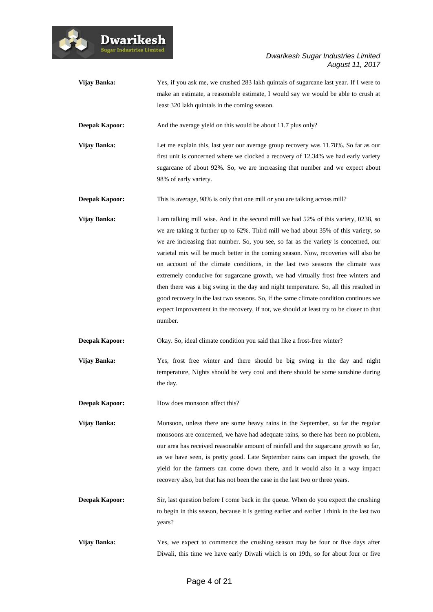

| Vijay Banka:          | Yes, if you ask me, we crushed 283 lakh quintals of sugarcane last year. If I were to<br>make an estimate, a reasonable estimate, I would say we would be able to crush at<br>least 320 lakh quintals in the coming season.                                                                                                                                                                                                                                                                                                                                                                                                                                                                                                                                                                                            |
|-----------------------|------------------------------------------------------------------------------------------------------------------------------------------------------------------------------------------------------------------------------------------------------------------------------------------------------------------------------------------------------------------------------------------------------------------------------------------------------------------------------------------------------------------------------------------------------------------------------------------------------------------------------------------------------------------------------------------------------------------------------------------------------------------------------------------------------------------------|
| <b>Deepak Kapoor:</b> | And the average yield on this would be about 11.7 plus only?                                                                                                                                                                                                                                                                                                                                                                                                                                                                                                                                                                                                                                                                                                                                                           |
| Vijay Banka:          | Let me explain this, last year our average group recovery was 11.78%. So far as our<br>first unit is concerned where we clocked a recovery of 12.34% we had early variety<br>sugarcane of about 92%. So, we are increasing that number and we expect about<br>98% of early variety.                                                                                                                                                                                                                                                                                                                                                                                                                                                                                                                                    |
| <b>Deepak Kapoor:</b> | This is average, 98% is only that one mill or you are talking across mill?                                                                                                                                                                                                                                                                                                                                                                                                                                                                                                                                                                                                                                                                                                                                             |
| Vijay Banka:          | I am talking mill wise. And in the second mill we had 52% of this variety, 0238, so<br>we are taking it further up to 62%. Third mill we had about 35% of this variety, so<br>we are increasing that number. So, you see, so far as the variety is concerned, our<br>varietal mix will be much better in the coming season. Now, recoveries will also be<br>on account of the climate conditions, in the last two seasons the climate was<br>extremely conducive for sugarcane growth, we had virtually frost free winters and<br>then there was a big swing in the day and night temperature. So, all this resulted in<br>good recovery in the last two seasons. So, if the same climate condition continues we<br>expect improvement in the recovery, if not, we should at least try to be closer to that<br>number. |
| <b>Deepak Kapoor:</b> | Okay. So, ideal climate condition you said that like a frost-free winter?                                                                                                                                                                                                                                                                                                                                                                                                                                                                                                                                                                                                                                                                                                                                              |
| Vijay Banka:          | Yes, frost free winter and there should be big swing in the day and night<br>temperature, Nights should be very cool and there should be some sunshine during<br>the day.                                                                                                                                                                                                                                                                                                                                                                                                                                                                                                                                                                                                                                              |
| <b>Deepak Kapoor:</b> | How does monsoon affect this?                                                                                                                                                                                                                                                                                                                                                                                                                                                                                                                                                                                                                                                                                                                                                                                          |
| Vijay Banka:          | Monsoon, unless there are some heavy rains in the September, so far the regular<br>monsoons are concerned, we have had adequate rains, so there has been no problem,<br>our area has received reasonable amount of rainfall and the sugarcane growth so far,<br>as we have seen, is pretty good. Late September rains can impact the growth, the<br>yield for the farmers can come down there, and it would also in a way impact<br>recovery also, but that has not been the case in the last two or three years.                                                                                                                                                                                                                                                                                                      |
| <b>Deepak Kapoor:</b> | Sir, last question before I come back in the queue. When do you expect the crushing<br>to begin in this season, because it is getting earlier and earlier I think in the last two<br>years?                                                                                                                                                                                                                                                                                                                                                                                                                                                                                                                                                                                                                            |
| Vijay Banka:          | Yes, we expect to commence the crushing season may be four or five days after<br>Diwali, this time we have early Diwali which is on 19th, so for about four or five                                                                                                                                                                                                                                                                                                                                                                                                                                                                                                                                                                                                                                                    |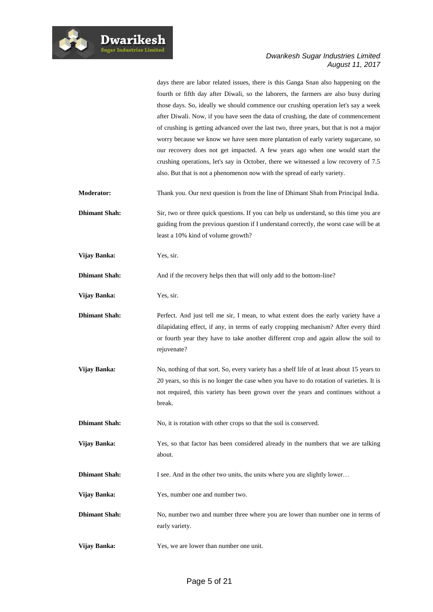

days there are labor related issues, there is this Ganga Snan also happening on the fourth or fifth day after Diwali, so the laborers, the farmers are also busy during those days. So, ideally we should commence our crushing operation let's say a week after Diwali. Now, if you have seen the data of crushing, the date of commencement of crushing is getting advanced over the last two, three years, but that is not a major worry because we know we have seen more plantation of early variety sugarcane, so our recovery does not get impacted. A few years ago when one would start the crushing operations, let's say in October, there we witnessed a low recovery of 7.5 also. But that is not a phenomenon now with the spread of early variety.

- **Moderator:** Thank you. Our next question is from the line of Dhimant Shah from Principal India.
- **Dhimant Shah:** Sir, two or three quick questions. If you can help us understand, so this time you are guiding from the previous question if I understand correctly, the worst case will be at least a 10% kind of volume growth?

**Vijay Banka:** Yes, sir.

**Dhimant Shah:** And if the recovery helps then that will only add to the bottom-line?

**Vijay Banka:** Yes, sir.

**Dhimant Shah:** Perfect. And just tell me sir, I mean, to what extent does the early variety have a dilapidating effect, if any, in terms of early cropping mechanism? After every third or fourth year they have to take another different crop and again allow the soil to rejuvenate?

**Vijay Banka:** No, nothing of that sort. So, every variety has a shelf life of at least about 15 years to 20 years, so this is no longer the case when you have to do rotation of varieties. It is not required, this variety has been grown over the years and continues without a break.

**Dhimant Shah:** No, it is rotation with other crops so that the soil is conserved.

- **Vijay Banka:** Yes, so that factor has been considered already in the numbers that we are talking about.
- **Dhimant Shah:** I see. And in the other two units, the units where you are slightly lower...

**Vijay Banka:** Yes, number one and number two.

**Dhimant Shah:** No, number two and number three where you are lower than number one in terms of early variety.

**Vijay Banka:** Yes, we are lower than number one unit.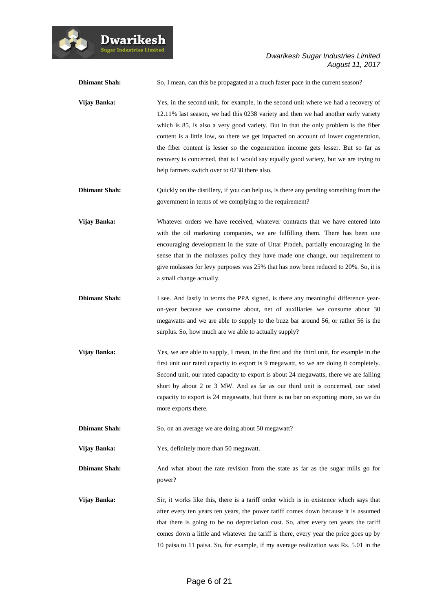

| <b>Dhimant Shah:</b> | So, I mean, can this be propagated at a much faster pace in the current season?                                                                                                                                                                                                                                                                                                                                                                                                                                                                                                       |
|----------------------|---------------------------------------------------------------------------------------------------------------------------------------------------------------------------------------------------------------------------------------------------------------------------------------------------------------------------------------------------------------------------------------------------------------------------------------------------------------------------------------------------------------------------------------------------------------------------------------|
| Vijay Banka:         | Yes, in the second unit, for example, in the second unit where we had a recovery of<br>12.11% last season, we had this 0238 variety and then we had another early variety<br>which is 85, is also a very good variety. But in that the only problem is the fiber<br>content is a little low, so there we get impacted on account of lower cogeneration,<br>the fiber content is lesser so the cogeneration income gets lesser. But so far as<br>recovery is concerned, that is I would say equally good variety, but we are trying to<br>help farmers switch over to 0238 there also. |
| <b>Dhimant Shah:</b> | Quickly on the distillery, if you can help us, is there any pending something from the<br>government in terms of we complying to the requirement?                                                                                                                                                                                                                                                                                                                                                                                                                                     |
| Vijay Banka:         | Whatever orders we have received, whatever contracts that we have entered into<br>with the oil marketing companies, we are fulfilling them. There has been one<br>encouraging development in the state of Uttar Pradeh, partially encouraging in the<br>sense that in the molasses policy they have made one change, our requirement to<br>give molasses for levy purposes was 25% that has now been reduced to 20%. So, it is<br>a small change actually.                                                                                                                            |
| <b>Dhimant Shah:</b> | I see. And lastly in terms the PPA signed, is there any meaningful difference year-<br>on-year because we consume about, net of auxiliaries we consume about 30<br>megawatts and we are able to supply to the buzz bar around 56, or rather 56 is the<br>surplus. So, how much are we able to actually supply?                                                                                                                                                                                                                                                                        |
| Vijay Banka:         | Yes, we are able to supply, I mean, in the first and the third unit, for example in the<br>first unit our rated capacity to export is 9 megawatt, so we are doing it completely.<br>Second unit, our rated capacity to export is about 24 megawatts, there we are falling<br>short by about 2 or 3 MW. And as far as our third unit is concerned, our rated<br>capacity to export is 24 megawatts, but there is no bar on exporting more, so we do<br>more exports there.                                                                                                             |
| <b>Dhimant Shah:</b> | So, on an average we are doing about 50 megawatt?                                                                                                                                                                                                                                                                                                                                                                                                                                                                                                                                     |
| Vijay Banka:         | Yes, definitely more than 50 megawatt.                                                                                                                                                                                                                                                                                                                                                                                                                                                                                                                                                |
| <b>Dhimant Shah:</b> | And what about the rate revision from the state as far as the sugar mills go for<br>power?                                                                                                                                                                                                                                                                                                                                                                                                                                                                                            |
| Vijay Banka:         | Sir, it works like this, there is a tariff order which is in existence which says that<br>after every ten years ten years, the power tariff comes down because it is assumed<br>that there is going to be no depreciation cost. So, after every ten years the tariff<br>comes down a little and whatever the tariff is there, every year the price goes up by<br>10 paisa to 11 paisa. So, for example, if my average realization was Rs. 5.01 in the                                                                                                                                 |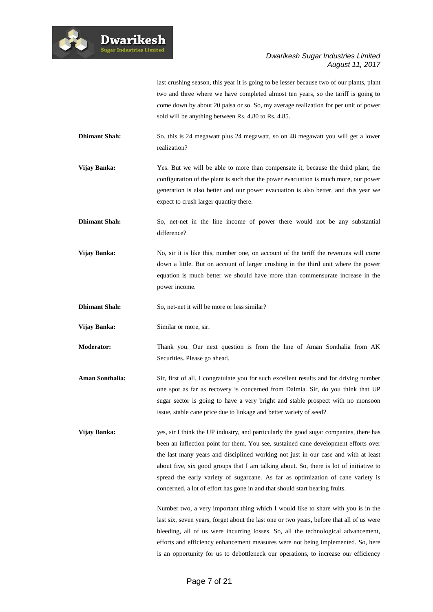

last crushing season, this year it is going to be lesser because two of our plants, plant two and three where we have completed almost ten years, so the tariff is going to come down by about 20 paisa or so. So, my average realization for per unit of power sold will be anything between Rs. 4.80 to Rs. 4.85.

- **Dhimant Shah:** So, this is 24 megawatt plus 24 megawatt, so on 48 megawatt you will get a lower realization?
- **Vijay Banka:** Yes. But we will be able to more than compensate it, because the third plant, the configuration of the plant is such that the power evacuation is much more, our power generation is also better and our power evacuation is also better, and this year we expect to crush larger quantity there.
- **Dhimant Shah:** So, net-net in the line income of power there would not be any substantial difference?
- **Vijay Banka:** No, sir it is like this, number one, on account of the tariff the revenues will come down a little. But on account of larger crushing in the third unit where the power equation is much better we should have more than commensurate increase in the power income.
- **Dhimant Shah:** So, net-net it will be more or less similar?
- **Vijay Banka:** Similar or more, sir.

**Dwarikesh** 

- **Moderator:** Thank you. Our next question is from the line of Aman Sonthalia from AK Securities. Please go ahead.
- **Aman Sonthalia:** Sir, first of all, I congratulate you for such excellent results and for driving number one spot as far as recovery is concerned from Dalmia. Sir, do you think that UP sugar sector is going to have a very bright and stable prospect with no monsoon issue, stable cane price due to linkage and better variety of seed?
- **Vijay Banka:** yes, sir I think the UP industry, and particularly the good sugar companies, there has been an inflection point for them. You see, sustained cane development efforts over the last many years and disciplined working not just in our case and with at least about five, six good groups that I am talking about. So, there is lot of initiative to spread the early variety of sugarcane. As far as optimization of cane variety is concerned, a lot of effort has gone in and that should start bearing fruits.

Number two, a very important thing which I would like to share with you is in the last six, seven years, forget about the last one or two years, before that all of us were bleeding, all of us were incurring losses. So, all the technological advancement, efforts and efficiency enhancement measures were not being implemented. So, here is an opportunity for us to debottleneck our operations, to increase our efficiency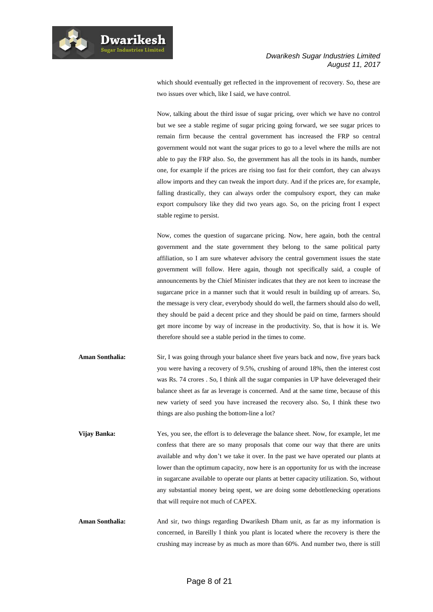

which should eventually get reflected in the improvement of recovery. So, these are two issues over which, like I said, we have control.

Now, talking about the third issue of sugar pricing, over which we have no control but we see a stable regime of sugar pricing going forward, we see sugar prices to remain firm because the central government has increased the FRP so central government would not want the sugar prices to go to a level where the mills are not able to pay the FRP also. So, the government has all the tools in its hands, number one, for example if the prices are rising too fast for their comfort, they can always allow imports and they can tweak the import duty. And if the prices are, for example, falling drastically, they can always order the compulsory export, they can make export compulsory like they did two years ago. So, on the pricing front I expect stable regime to persist.

Now, comes the question of sugarcane pricing. Now, here again, both the central government and the state government they belong to the same political party affiliation, so I am sure whatever advisory the central government issues the state government will follow. Here again, though not specifically said, a couple of announcements by the Chief Minister indicates that they are not keen to increase the sugarcane price in a manner such that it would result in building up of arrears. So, the message is very clear, everybody should do well, the farmers should also do well, they should be paid a decent price and they should be paid on time, farmers should get more income by way of increase in the productivity. So, that is how it is. We therefore should see a stable period in the times to come.

- **Aman Sonthalia:** Sir, I was going through your balance sheet five years back and now, five years back you were having a recovery of 9.5%, crushing of around 18%, then the interest cost was Rs. 74 crores . So, I think all the sugar companies in UP have deleveraged their balance sheet as far as leverage is concerned. And at the same time, because of this new variety of seed you have increased the recovery also. So, I think these two things are also pushing the bottom-line a lot?
- **Vijay Banka:** Yes, you see, the effort is to deleverage the balance sheet. Now, for example, let me confess that there are so many proposals that come our way that there are units available and why don't we take it over. In the past we have operated our plants at lower than the optimum capacity, now here is an opportunity for us with the increase in sugarcane available to operate our plants at better capacity utilization. So, without any substantial money being spent, we are doing some debottlenecking operations that will require not much of CAPEX.
- Aman Sonthalia: And sir, two things regarding Dwarikesh Dham unit, as far as my information is concerned, in Bareilly I think you plant is located where the recovery is there the crushing may increase by as much as more than 60%. And number two, there is still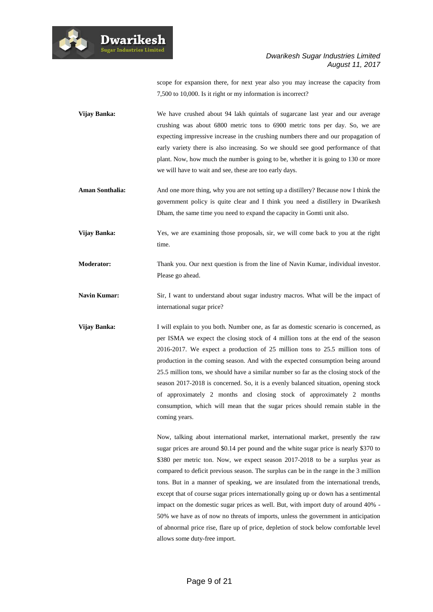

scope for expansion there, for next year also you may increase the capacity from 7,500 to 10,000. Is it right or my information is incorrect?

- **Vijay Banka:** We have crushed about 94 lakh quintals of sugarcane last year and our average crushing was about 6800 metric tons to 6900 metric tons per day. So, we are expecting impressive increase in the crushing numbers there and our propagation of early variety there is also increasing. So we should see good performance of that plant. Now, how much the number is going to be, whether it is going to 130 or more we will have to wait and see, these are too early days.
- **Aman Sonthalia:** And one more thing, why you are not setting up a distillery? Because now I think the government policy is quite clear and I think you need a distillery in Dwarikesh Dham, the same time you need to expand the capacity in Gomti unit also.
- **Vijay Banka:** Yes, we are examining those proposals, sir, we will come back to you at the right time.
- **Moderator:** Thank you. Our next question is from the line of Navin Kumar, individual investor. Please go ahead.
- **Navin Kumar:** Sir, I want to understand about sugar industry macros. What will be the impact of international sugar price?
- **Vijay Banka:** I will explain to you both. Number one, as far as domestic scenario is concerned, as per ISMA we expect the closing stock of 4 million tons at the end of the season 2016-2017. We expect a production of 25 million tons to 25.5 million tons of production in the coming season. And with the expected consumption being around 25.5 million tons, we should have a similar number so far as the closing stock of the season 2017-2018 is concerned. So, it is a evenly balanced situation, opening stock of approximately 2 months and closing stock of approximately 2 months consumption, which will mean that the sugar prices should remain stable in the coming years.

Now, talking about international market, international market, presently the raw sugar prices are around \$0.14 per pound and the white sugar price is nearly \$370 to \$380 per metric ton. Now, we expect season 2017-2018 to be a surplus year as compared to deficit previous season. The surplus can be in the range in the 3 million tons. But in a manner of speaking, we are insulated from the international trends, except that of course sugar prices internationally going up or down has a sentimental impact on the domestic sugar prices as well. But, with import duty of around 40% - 50% we have as of now no threats of imports, unless the government in anticipation of abnormal price rise, flare up of price, depletion of stock below comfortable level allows some duty-free import.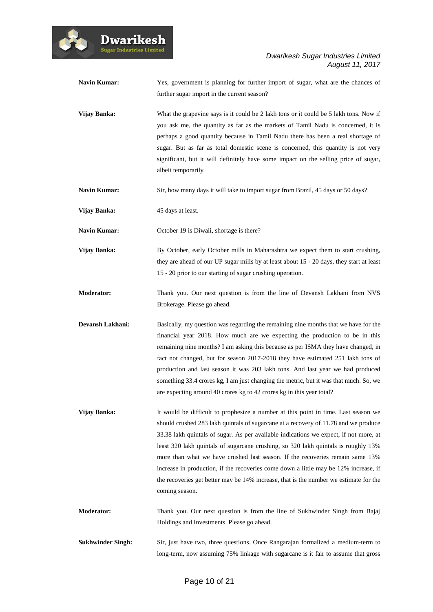

| <b>Navin Kumar:</b> | Yes, government is planning for further import of sugar, what are the chances of<br>further sugar import in the current season?                                                                                                                                                                                                                                                                                                                                                                                                                                                                                                              |
|---------------------|----------------------------------------------------------------------------------------------------------------------------------------------------------------------------------------------------------------------------------------------------------------------------------------------------------------------------------------------------------------------------------------------------------------------------------------------------------------------------------------------------------------------------------------------------------------------------------------------------------------------------------------------|
| Vijay Banka:        | What the grapevine says is it could be 2 lakh tons or it could be 5 lakh tons. Now if<br>you ask me, the quantity as far as the markets of Tamil Nadu is concerned, it is<br>perhaps a good quantity because in Tamil Nadu there has been a real shortage of<br>sugar. But as far as total domestic scene is concerned, this quantity is not very<br>significant, but it will definitely have some impact on the selling price of sugar,<br>albeit temporarily                                                                                                                                                                               |
| <b>Navin Kumar:</b> | Sir, how many days it will take to import sugar from Brazil, 45 days or 50 days?                                                                                                                                                                                                                                                                                                                                                                                                                                                                                                                                                             |
| Vijay Banka:        | 45 days at least.                                                                                                                                                                                                                                                                                                                                                                                                                                                                                                                                                                                                                            |
| <b>Navin Kumar:</b> | October 19 is Diwali, shortage is there?                                                                                                                                                                                                                                                                                                                                                                                                                                                                                                                                                                                                     |
| Vijay Banka:        | By October, early October mills in Maharashtra we expect them to start crushing,<br>they are ahead of our UP sugar mills by at least about 15 - 20 days, they start at least<br>15 - 20 prior to our starting of sugar crushing operation.                                                                                                                                                                                                                                                                                                                                                                                                   |
| <b>Moderator:</b>   | Thank you. Our next question is from the line of Devansh Lakhani from NVS<br>Brokerage. Please go ahead.                                                                                                                                                                                                                                                                                                                                                                                                                                                                                                                                     |
|                     |                                                                                                                                                                                                                                                                                                                                                                                                                                                                                                                                                                                                                                              |
| Devansh Lakhani:    | Basically, my question was regarding the remaining nine months that we have for the<br>financial year 2018. How much are we expecting the production to be in this<br>remaining nine months? I am asking this because as per ISMA they have changed, in<br>fact not changed, but for season 2017-2018 they have estimated 251 lakh tons of<br>production and last season it was 203 lakh tons. And last year we had produced<br>something 33.4 crores kg, I am just changing the metric, but it was that much. So, we<br>are expecting around 40 crores kg to 42 crores kg in this year total?                                               |
| Vijay Banka:        | It would be difficult to prophesize a number at this point in time. Last season we<br>should crushed 283 lakh quintals of sugarcane at a recovery of 11.78 and we produce<br>33.38 lakh quintals of sugar. As per available indications we expect, if not more, at<br>least 320 lakh quintals of sugarcane crushing, so 320 lakh quintals is roughly 13%<br>more than what we have crushed last season. If the recoveries remain same 13%<br>increase in production, if the recoveries come down a little may be 12% increase, if<br>the recoveries get better may be 14% increase, that is the number we estimate for the<br>coming season. |
| <b>Moderator:</b>   | Thank you. Our next question is from the line of Sukhwinder Singh from Bajaj<br>Holdings and Investments. Please go ahead.                                                                                                                                                                                                                                                                                                                                                                                                                                                                                                                   |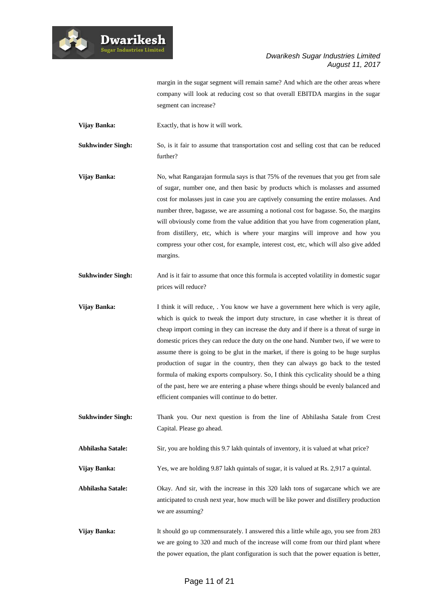

margin in the sugar segment will remain same? And which are the other areas where company will look at reducing cost so that overall EBITDA margins in the sugar segment can increase?

**Vijay Banka:** Exactly, that is how it will work.

**Dwarikesh** 

**Sukhwinder Singh:** So, is it fair to assume that transportation cost and selling cost that can be reduced further?

**Vijay Banka:** No, what Rangarajan formula says is that 75% of the revenues that you get from sale of sugar, number one, and then basic by products which is molasses and assumed cost for molasses just in case you are captively consuming the entire molasses. And number three, bagasse, we are assuming a notional cost for bagasse. So, the margins will obviously come from the value addition that you have from cogeneration plant, from distillery, etc, which is where your margins will improve and how you compress your other cost, for example, interest cost, etc, which will also give added margins.

**Sukhwinder Singh:** And is it fair to assume that once this formula is accepted volatility in domestic sugar prices will reduce?

**Vijay Banka:** I think it will reduce, . You know we have a government here which is very agile, which is quick to tweak the import duty structure, in case whether it is threat of cheap import coming in they can increase the duty and if there is a threat of surge in domestic prices they can reduce the duty on the one hand. Number two, if we were to assume there is going to be glut in the market, if there is going to be huge surplus production of sugar in the country, then they can always go back to the tested formula of making exports compulsory. So, I think this cyclicality should be a thing of the past, here we are entering a phase where things should be evenly balanced and efficient companies will continue to do better.

**Sukhwinder Singh:** Thank you. Our next question is from the line of Abhilasha Satale from Crest Capital. Please go ahead.

**Abhilasha Satale:** Sir, you are holding this 9.7 lakh quintals of inventory, it is valued at what price?

**Vijay Banka:** Yes, we are holding 9.87 lakh quintals of sugar, it is valued at Rs. 2,917 a quintal.

**Abhilasha Satale:** Okay. And sir, with the increase in this 320 lakh tons of sugarcane which we are anticipated to crush next year, how much will be like power and distillery production we are assuming?

**Vijay Banka:** It should go up commensurately. I answered this a little while ago, you see from 283 we are going to 320 and much of the increase will come from our third plant where the power equation, the plant configuration is such that the power equation is better,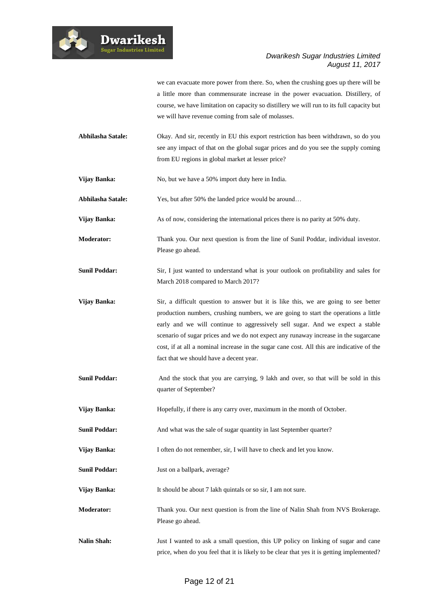

we can evacuate more power from there. So, when the crushing goes up there will be a little more than commensurate increase in the power evacuation. Distillery, of course, we have limitation on capacity so distillery we will run to its full capacity but we will have revenue coming from sale of molasses.

- **Abhilasha Satale:** Okay. And sir, recently in EU this export restriction has been withdrawn, so do you see any impact of that on the global sugar prices and do you see the supply coming from EU regions in global market at lesser price?
- **Vijay Banka:** No, but we have a 50% import duty here in India.
- **Abhilasha Satale:** Yes, but after 50% the landed price would be around…
- Vijay Banka: As of now, considering the international prices there is no parity at 50% duty.
- **Moderator:** Thank you. Our next question is from the line of Sunil Poddar, individual investor. Please go ahead.
- **Sunil Poddar:** Sir, I just wanted to understand what is your outlook on profitability and sales for March 2018 compared to March 2017?
- **Vijay Banka:** Sir, a difficult question to answer but it is like this, we are going to see better production numbers, crushing numbers, we are going to start the operations a little early and we will continue to aggressively sell sugar. And we expect a stable scenario of sugar prices and we do not expect any runaway increase in the sugarcane cost, if at all a nominal increase in the sugar cane cost. All this are indicative of the fact that we should have a decent year.
- **Sunil Poddar:** And the stock that you are carrying, 9 lakh and over, so that will be sold in this quarter of September?
- Vijay Banka: Hopefully, if there is any carry over, maximum in the month of October.
- **Sunil Poddar:** And what was the sale of sugar quantity in last September quarter?
- **Vijay Banka:** I often do not remember, sir, I will have to check and let you know.
- **Sunil Poddar:** Just on a ballpark, average?
- **Vijay Banka:** It should be about 7 lakh quintals or so sir, I am not sure.
- **Moderator:** Thank you. Our next question is from the line of Nalin Shah from NVS Brokerage. Please go ahead.
- **Nalin Shah:** Just I wanted to ask a small question, this UP policy on linking of sugar and cane price, when do you feel that it is likely to be clear that yes it is getting implemented?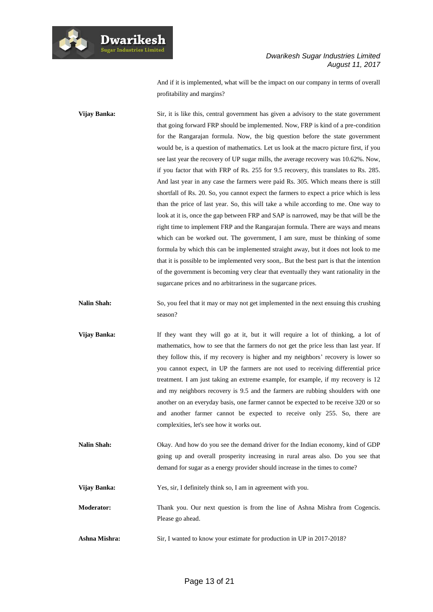

And if it is implemented, what will be the impact on our company in terms of overall profitability and margins?

**Vijay Banka:** Sir, it is like this, central government has given a advisory to the state government that going forward FRP should be implemented. Now, FRP is kind of a pre-condition for the Rangarajan formula. Now, the big question before the state government would be, is a question of mathematics. Let us look at the macro picture first, if you see last year the recovery of UP sugar mills, the average recovery was 10.62%. Now, if you factor that with FRP of Rs. 255 for 9.5 recovery, this translates to Rs. 285. And last year in any case the farmers were paid Rs. 305. Which means there is still shortfall of Rs. 20. So, you cannot expect the farmers to expect a price which is less than the price of last year. So, this will take a while according to me. One way to look at it is, once the gap between FRP and SAP is narrowed, may be that will be the right time to implement FRP and the Rangarajan formula. There are ways and means which can be worked out. The government, I am sure, must be thinking of some formula by which this can be implemented straight away, but it does not look to me that it is possible to be implemented very soon,. But the best part is that the intention of the government is becoming very clear that eventually they want rationality in the sugarcane prices and no arbitrariness in the sugarcane prices.

**Nalin Shah:** So, you feel that it may or may not get implemented in the next ensuing this crushing season?

- **Vijay Banka:** If they want they will go at it, but it will require a lot of thinking, a lot of mathematics, how to see that the farmers do not get the price less than last year. If they follow this, if my recovery is higher and my neighbors' recovery is lower so you cannot expect, in UP the farmers are not used to receiving differential price treatment. I am just taking an extreme example, for example, if my recovery is 12 and my neighbors recovery is 9.5 and the farmers are rubbing shoulders with one another on an everyday basis, one farmer cannot be expected to be receive 320 or so and another farmer cannot be expected to receive only 255. So, there are complexities, let's see how it works out.
- **Nalin Shah:** Okay. And how do you see the demand driver for the Indian economy, kind of GDP going up and overall prosperity increasing in rural areas also. Do you see that demand for sugar as a energy provider should increase in the times to come?

**Vijay Banka:** Yes, sir, I definitely think so, I am in agreement with you.

**Moderator:** Thank you. Our next question is from the line of Ashna Mishra from Cogencis. Please go ahead.

Ashna Mishra: Sir, I wanted to know your estimate for production in UP in 2017-2018?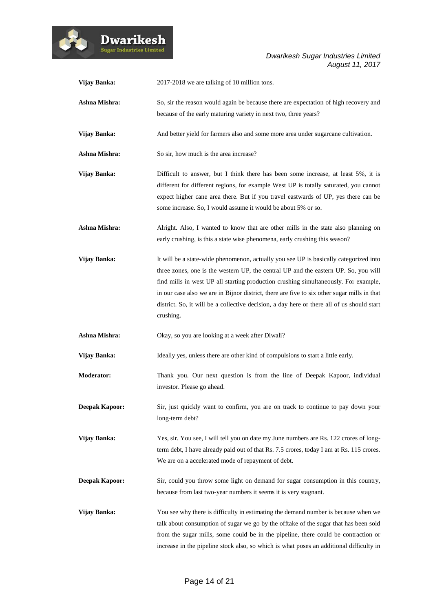

| Vijay Banka:          | 2017-2018 we are talking of 10 million tons.                                                                                                                                                                                                                                                                                                                                                                                                                                  |
|-----------------------|-------------------------------------------------------------------------------------------------------------------------------------------------------------------------------------------------------------------------------------------------------------------------------------------------------------------------------------------------------------------------------------------------------------------------------------------------------------------------------|
| Ashna Mishra:         | So, sir the reason would again be because there are expectation of high recovery and<br>because of the early maturing variety in next two, three years?                                                                                                                                                                                                                                                                                                                       |
| Vijay Banka:          | And better yield for farmers also and some more area under sugarcane cultivation.                                                                                                                                                                                                                                                                                                                                                                                             |
| Ashna Mishra:         | So sir, how much is the area increase?                                                                                                                                                                                                                                                                                                                                                                                                                                        |
| Vijay Banka:          | Difficult to answer, but I think there has been some increase, at least 5%, it is<br>different for different regions, for example West UP is totally saturated, you cannot<br>expect higher cane area there. But if you travel eastwards of UP, yes there can be<br>some increase. So, I would assume it would be about 5% or so.                                                                                                                                             |
| Ashna Mishra:         | Alright. Also, I wanted to know that are other mills in the state also planning on<br>early crushing, is this a state wise phenomena, early crushing this season?                                                                                                                                                                                                                                                                                                             |
| <b>Vijay Banka:</b>   | It will be a state-wide phenomenon, actually you see UP is basically categorized into<br>three zones, one is the western UP, the central UP and the eastern UP. So, you will<br>find mills in west UP all starting production crushing simultaneously. For example,<br>in our case also we are in Bijnor district, there are five to six other sugar mills in that<br>district. So, it will be a collective decision, a day here or there all of us should start<br>crushing. |
| Ashna Mishra:         | Okay, so you are looking at a week after Diwali?                                                                                                                                                                                                                                                                                                                                                                                                                              |
| Vijay Banka:          | Ideally yes, unless there are other kind of compulsions to start a little early.                                                                                                                                                                                                                                                                                                                                                                                              |
| <b>Moderator:</b>     | Thank you. Our next question is from the line of Deepak Kapoor, individual<br>investor. Please go ahead.                                                                                                                                                                                                                                                                                                                                                                      |
| <b>Deepak Kapoor:</b> | Sir, just quickly want to confirm, you are on track to continue to pay down your<br>long-term debt?                                                                                                                                                                                                                                                                                                                                                                           |
| Vijay Banka:          | Yes, sir. You see, I will tell you on date my June numbers are Rs. 122 crores of long-<br>term debt, I have already paid out of that Rs. 7.5 crores, today I am at Rs. 115 crores.<br>We are on a accelerated mode of repayment of debt.                                                                                                                                                                                                                                      |
| <b>Deepak Kapoor:</b> | Sir, could you throw some light on demand for sugar consumption in this country,<br>because from last two-year numbers it seems it is very stagnant.                                                                                                                                                                                                                                                                                                                          |
| Vijay Banka:          | You see why there is difficulty in estimating the demand number is because when we<br>talk about consumption of sugar we go by the offtake of the sugar that has been sold<br>from the sugar mills, some could be in the pipeline, there could be contraction or<br>increase in the pipeline stock also, so which is what poses an additional difficulty in                                                                                                                   |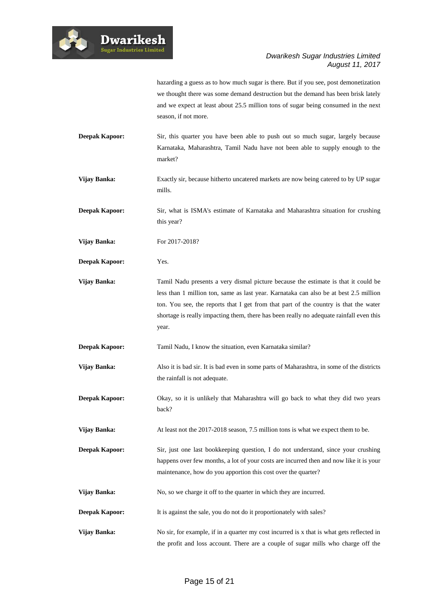

hazarding a guess as to how much sugar is there. But if you see, post demonetization we thought there was some demand destruction but the demand has been brisk lately and we expect at least about 25.5 million tons of sugar being consumed in the next season, if not more.

- **Deepak Kapoor:** Sir, this quarter you have been able to push out so much sugar, largely because Karnataka, Maharashtra, Tamil Nadu have not been able to supply enough to the market?
- Vijay Banka: Exactly sir, because hitherto uncatered markets are now being catered to by UP sugar mills.
- **Deepak Kapoor:** Sir, what is ISMA's estimate of Karnataka and Maharashtra situation for crushing this year?
- **Vijay Banka:** For 2017-2018?
- **Deepak Kapoor:** Yes.
- **Vijay Banka:** Tamil Nadu presents a very dismal picture because the estimate is that it could be less than 1 million ton, same as last year. Karnataka can also be at best 2.5 million ton. You see, the reports that I get from that part of the country is that the water shortage is really impacting them, there has been really no adequate rainfall even this year.
- **Deepak Kapoor:** Tamil Nadu, I know the situation, even Karnataka similar?
- **Vijay Banka:** Also it is bad sir. It is bad even in some parts of Maharashtra, in some of the districts the rainfall is not adequate.
- **Deepak Kapoor:** Okay, so it is unlikely that Maharashtra will go back to what they did two years back?
- **Vijay Banka:** At least not the 2017-2018 season, 7.5 million tons is what we expect them to be.
- **Deepak Kapoor:** Sir, just one last bookkeeping question, I do not understand, since your crushing happens over few months, a lot of your costs are incurred then and now like it is your maintenance, how do you apportion this cost over the quarter?
- Vijay Banka: No, so we charge it off to the quarter in which they are incurred.
- **Deepak Kapoor:** It is against the sale, you do not do it proportionately with sales?
- **Vijay Banka:** No sir, for example, if in a quarter my cost incurred is x that is what gets reflected in the profit and loss account. There are a couple of sugar mills who charge off the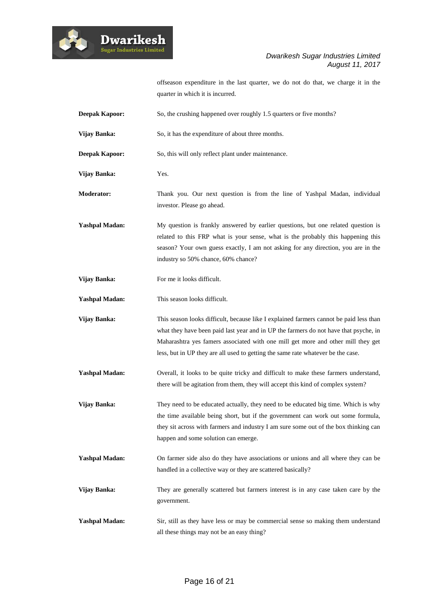

offseason expenditure in the last quarter, we do not do that, we charge it in the quarter in which it is incurred.

- **Deepak Kapoor:** So, the crushing happened over roughly 1.5 quarters or five months? **Vijay Banka:** So, it has the expenditure of about three months. **Deepak Kapoor:** So, this will only reflect plant under maintenance. **Vijay Banka:** Yes. **Moderator:** Thank you. Our next question is from the line of Yashpal Madan, individual investor. Please go ahead.
- **Yashpal Madan:** My question is frankly answered by earlier questions, but one related question is related to this FRP what is your sense, what is the probably this happening this season? Your own guess exactly, I am not asking for any direction, you are in the industry so 50% chance, 60% chance?
- **Vijay Banka:** For me it looks difficult.

**Dwarikesh** .<br>Sugar Industries Limited

**Yashpal Madan:** This season looks difficult.

**Vijay Banka:** This season looks difficult, because like I explained farmers cannot be paid less than what they have been paid last year and in UP the farmers do not have that psyche, in Maharashtra yes famers associated with one mill get more and other mill they get less, but in UP they are all used to getting the same rate whatever be the case.

- **Yashpal Madan:** Overall, it looks to be quite tricky and difficult to make these farmers understand, there will be agitation from them, they will accept this kind of complex system?
- **Vijay Banka:** They need to be educated actually, they need to be educated big time. Which is why the time available being short, but if the government can work out some formula, they sit across with farmers and industry I am sure some out of the box thinking can happen and some solution can emerge.
- **Yashpal Madan:** On farmer side also do they have associations or unions and all where they can be handled in a collective way or they are scattered basically?
- **Vijay Banka:** They are generally scattered but farmers interest is in any case taken care by the government.
- **Yashpal Madan:** Sir, still as they have less or may be commercial sense so making them understand all these things may not be an easy thing?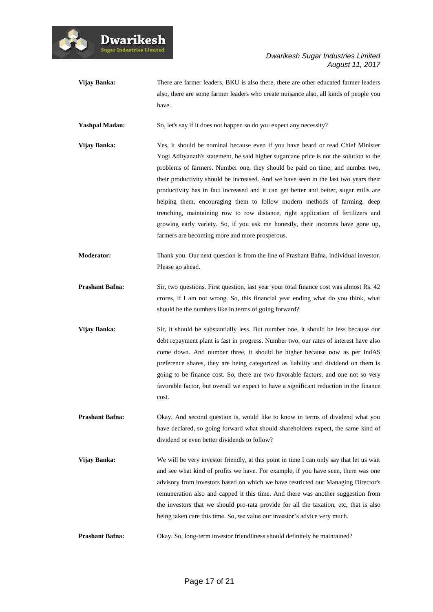



**Vijay Banka:** There are farmer leaders, BKU is also there, there are other educated farmer leaders also, there are some farmer leaders who create nuisance also, all kinds of people you have.

Yashpal Madan: So, let's say if it does not happen so do you expect any necessity?

**Vijay Banka:** Yes, it should be nominal because even if you have heard or read Chief Minister Yogi Adityanath's statement, he said higher sugarcane price is not the solution to the problems of farmers. Number one, they should be paid on time; and number two, their productivity should be increased. And we have seen in the last two years their productivity has in fact increased and it can get better and better, sugar mills are helping them, encouraging them to follow modern methods of farming, deep trenching, maintaining row to row distance, right application of fertilizers and growing early variety. So, if you ask me honestly, their incomes have gone up, farmers are becoming more and more prosperous.

- **Moderator:** Thank you. Our next question is from the line of Prashant Bafna, individual investor. Please go ahead.
- **Prashant Bafna:** Sir, two questions. First question, last year your total finance cost was almost Rs. 42 crores, if I am not wrong. So, this financial year ending what do you think, what should be the numbers like in terms of going forward?
- **Vijay Banka:** Sir, it should be substantially less. But number one, it should be less because our debt repayment plant is fast in progress. Number two, our rates of interest have also come down. And number three, it should be higher because now as per IndAS preference shares, they are being categorized as liability and dividend on them is going to be finance cost. So, there are two favorable factors, and one not so very favorable factor, but overall we expect to have a significant reduction in the finance cost.
- **Prashant Bafna:** Okay. And second question is, would like to know in terms of dividend what you have declared, so going forward what should shareholders expect, the same kind of dividend or even better dividends to follow?
- **Vijay Banka:** We will be very investor friendly, at this point in time I can only say that let us wait and see what kind of profits we have. For example, if you have seen, there was one advisory from investors based on which we have restricted our Managing Director's remuneration also and capped it this time. And there was another suggestion from the investors that we should pro-rata provide for all the taxation, etc, that is also being taken care this time. So, we value our investor's advice very much.
- **Prashant Bafna:** Okay. So, long-term investor friendliness should definitely be maintained?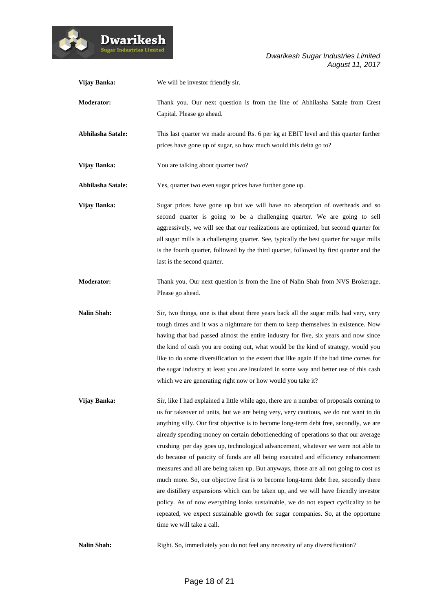

| Vijay Banka:       | We will be investor friendly sir.                                                                                                                                                                                                                                                                                                                                                                                                                                                                                                                                                                                                                                                                                                                                                                                                                                                                                                                                                                                      |
|--------------------|------------------------------------------------------------------------------------------------------------------------------------------------------------------------------------------------------------------------------------------------------------------------------------------------------------------------------------------------------------------------------------------------------------------------------------------------------------------------------------------------------------------------------------------------------------------------------------------------------------------------------------------------------------------------------------------------------------------------------------------------------------------------------------------------------------------------------------------------------------------------------------------------------------------------------------------------------------------------------------------------------------------------|
| <b>Moderator:</b>  | Thank you. Our next question is from the line of Abhilasha Satale from Crest<br>Capital. Please go ahead.                                                                                                                                                                                                                                                                                                                                                                                                                                                                                                                                                                                                                                                                                                                                                                                                                                                                                                              |
| Abhilasha Satale:  | This last quarter we made around Rs. 6 per kg at EBIT level and this quarter further<br>prices have gone up of sugar, so how much would this delta go to?                                                                                                                                                                                                                                                                                                                                                                                                                                                                                                                                                                                                                                                                                                                                                                                                                                                              |
| Vijay Banka:       | You are talking about quarter two?                                                                                                                                                                                                                                                                                                                                                                                                                                                                                                                                                                                                                                                                                                                                                                                                                                                                                                                                                                                     |
| Abhilasha Satale:  | Yes, quarter two even sugar prices have further gone up.                                                                                                                                                                                                                                                                                                                                                                                                                                                                                                                                                                                                                                                                                                                                                                                                                                                                                                                                                               |
| Vijay Banka:       | Sugar prices have gone up but we will have no absorption of overheads and so<br>second quarter is going to be a challenging quarter. We are going to sell<br>aggressively, we will see that our realizations are optimized, but second quarter for<br>all sugar mills is a challenging quarter. See, typically the best quarter for sugar mills<br>is the fourth quarter, followed by the third quarter, followed by first quarter and the<br>last is the second quarter.                                                                                                                                                                                                                                                                                                                                                                                                                                                                                                                                              |
| <b>Moderator:</b>  | Thank you. Our next question is from the line of Nalin Shah from NVS Brokerage.<br>Please go ahead.                                                                                                                                                                                                                                                                                                                                                                                                                                                                                                                                                                                                                                                                                                                                                                                                                                                                                                                    |
| <b>Nalin Shah:</b> | Sir, two things, one is that about three years back all the sugar mills had very, very<br>tough times and it was a nightmare for them to keep themselves in existence. Now<br>having that bad passed almost the entire industry for five, six years and now since<br>the kind of cash you are oozing out, what would be the kind of strategy, would you<br>like to do some diversification to the extent that like again if the bad time comes for<br>the sugar industry at least you are insulated in some way and better use of this cash<br>which we are generating right now or how would you take it?                                                                                                                                                                                                                                                                                                                                                                                                             |
| Vijay Banka:       | Sir, like I had explained a little while ago, there are n number of proposals coming to<br>us for takeover of units, but we are being very, very cautious, we do not want to do<br>anything silly. Our first objective is to become long-term debt free, secondly, we are<br>already spending money on certain debottlenecking of operations so that our average<br>crushing per day goes up, technological advancement, whatever we were not able to<br>do because of paucity of funds are all being executed and efficiency enhancement<br>measures and all are being taken up. But anyways, those are all not going to cost us<br>much more. So, our objective first is to become long-term debt free, secondly there<br>are distillery expansions which can be taken up, and we will have friendly investor<br>policy. As of now everything looks sustainable, we do not expect cyclicality to be<br>repeated, we expect sustainable growth for sugar companies. So, at the opportune<br>time we will take a call. |
| <b>Nalin Shah:</b> | Right. So, immediately you do not feel any necessity of any diversification?                                                                                                                                                                                                                                                                                                                                                                                                                                                                                                                                                                                                                                                                                                                                                                                                                                                                                                                                           |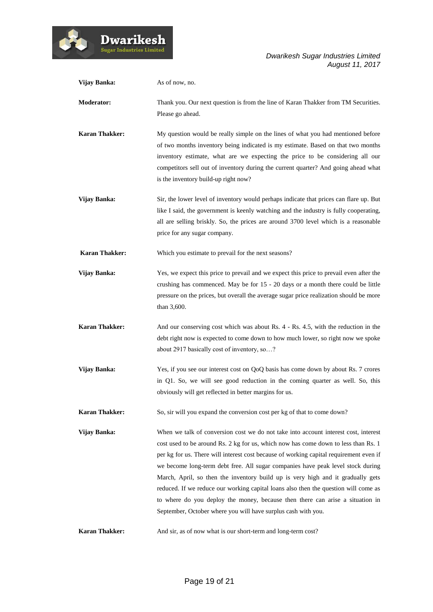| Vijay Banka:          | As of now, no.                                                                                                                                                                                                                                                                                                                                                                                                                                                                                                                                                                                                                                                                     |
|-----------------------|------------------------------------------------------------------------------------------------------------------------------------------------------------------------------------------------------------------------------------------------------------------------------------------------------------------------------------------------------------------------------------------------------------------------------------------------------------------------------------------------------------------------------------------------------------------------------------------------------------------------------------------------------------------------------------|
| <b>Moderator:</b>     | Thank you. Our next question is from the line of Karan Thakker from TM Securities.<br>Please go ahead.                                                                                                                                                                                                                                                                                                                                                                                                                                                                                                                                                                             |
| <b>Karan Thakker:</b> | My question would be really simple on the lines of what you had mentioned before<br>of two months inventory being indicated is my estimate. Based on that two months<br>inventory estimate, what are we expecting the price to be considering all our<br>competitors sell out of inventory during the current quarter? And going ahead what<br>is the inventory build-up right now?                                                                                                                                                                                                                                                                                                |
| Vijay Banka:          | Sir, the lower level of inventory would perhaps indicate that prices can flare up. But<br>like I said, the government is keenly watching and the industry is fully cooperating,<br>all are selling briskly. So, the prices are around 3700 level which is a reasonable<br>price for any sugar company.                                                                                                                                                                                                                                                                                                                                                                             |
| <b>Karan Thakker:</b> | Which you estimate to prevail for the next seasons?                                                                                                                                                                                                                                                                                                                                                                                                                                                                                                                                                                                                                                |
| Vijay Banka:          | Yes, we expect this price to prevail and we expect this price to prevail even after the<br>crushing has commenced. May be for 15 - 20 days or a month there could be little<br>pressure on the prices, but overall the average sugar price realization should be more<br>than 3,600.                                                                                                                                                                                                                                                                                                                                                                                               |
| <b>Karan Thakker:</b> | And our conserving cost which was about Rs. 4 - Rs. 4.5, with the reduction in the<br>debt right now is expected to come down to how much lower, so right now we spoke<br>about 2917 basically cost of inventory, so?                                                                                                                                                                                                                                                                                                                                                                                                                                                              |
| Vijay Banka:          | Yes, if you see our interest cost on QoQ basis has come down by about Rs. 7 crores<br>in Q1. So, we will see good reduction in the coming quarter as well. So, this<br>obviously will get reflected in better margins for us.                                                                                                                                                                                                                                                                                                                                                                                                                                                      |
| <b>Karan Thakker:</b> | So, sir will you expand the conversion cost per kg of that to come down?                                                                                                                                                                                                                                                                                                                                                                                                                                                                                                                                                                                                           |
| Vijay Banka:          | When we talk of conversion cost we do not take into account interest cost, interest<br>cost used to be around Rs. 2 kg for us, which now has come down to less than Rs. 1<br>per kg for us. There will interest cost because of working capital requirement even if<br>we become long-term debt free. All sugar companies have peak level stock during<br>March, April, so then the inventory build up is very high and it gradually gets<br>reduced. If we reduce our working capital loans also then the question will come as<br>to where do you deploy the money, because then there can arise a situation in<br>September, October where you will have surplus cash with you. |
| <b>Karan Thakker:</b> | And sir, as of now what is our short-term and long-term cost?                                                                                                                                                                                                                                                                                                                                                                                                                                                                                                                                                                                                                      |

Dwarikesh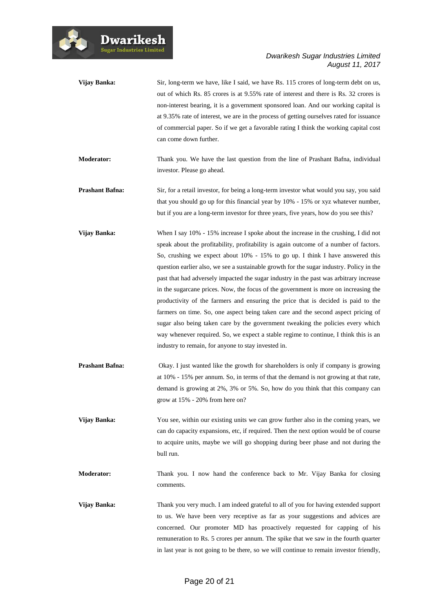

| Vijay Banka:           | Sir, long-term we have, like I said, we have Rs. 115 crores of long-term debt on us,<br>out of which Rs. 85 crores is at 9.55% rate of interest and there is Rs. 32 crores is<br>non-interest bearing, it is a government sponsored loan. And our working capital is<br>at 9.35% rate of interest, we are in the process of getting ourselves rated for issuance<br>of commercial paper. So if we get a favorable rating I think the working capital cost<br>can come down further.                                                                                                                                                                                                                                                                                                                                                                                                                                                                       |
|------------------------|-----------------------------------------------------------------------------------------------------------------------------------------------------------------------------------------------------------------------------------------------------------------------------------------------------------------------------------------------------------------------------------------------------------------------------------------------------------------------------------------------------------------------------------------------------------------------------------------------------------------------------------------------------------------------------------------------------------------------------------------------------------------------------------------------------------------------------------------------------------------------------------------------------------------------------------------------------------|
| Moderator:             | Thank you. We have the last question from the line of Prashant Bafna, individual<br>investor. Please go ahead.                                                                                                                                                                                                                                                                                                                                                                                                                                                                                                                                                                                                                                                                                                                                                                                                                                            |
| <b>Prashant Bafna:</b> | Sir, for a retail investor, for being a long-term investor what would you say, you said<br>that you should go up for this financial year by 10% - 15% or xyz whatever number,<br>but if you are a long-term investor for three years, five years, how do you see this?                                                                                                                                                                                                                                                                                                                                                                                                                                                                                                                                                                                                                                                                                    |
| Vijay Banka:           | When I say $10\%$ - 15% increase I spoke about the increase in the crushing, I did not<br>speak about the profitability, profitability is again outcome of a number of factors.<br>So, crushing we expect about 10% - 15% to go up. I think I have answered this<br>question earlier also, we see a sustainable growth for the sugar industry. Policy in the<br>past that had adversely impacted the sugar industry in the past was arbitrary increase<br>in the sugarcane prices. Now, the focus of the government is more on increasing the<br>productivity of the farmers and ensuring the price that is decided is paid to the<br>farmers on time. So, one aspect being taken care and the second aspect pricing of<br>sugar also being taken care by the government tweaking the policies every which<br>way whenever required. So, we expect a stable regime to continue, I think this is an<br>industry to remain, for anyone to stay invested in. |
| <b>Prashant Bafna:</b> | Okay. I just wanted like the growth for shareholders is only if company is growing<br>at 10% - 15% per annum. So, in terms of that the demand is not growing at that rate,<br>demand is growing at 2%, 3% or 5%. So, how do you think that this company can<br>grow at 15% - 20% from here on?                                                                                                                                                                                                                                                                                                                                                                                                                                                                                                                                                                                                                                                            |
| Vijay Banka:           | You see, within our existing units we can grow further also in the coming years, we<br>can do capacity expansions, etc, if required. Then the next option would be of course<br>to acquire units, maybe we will go shopping during beer phase and not during the<br>bull run.                                                                                                                                                                                                                                                                                                                                                                                                                                                                                                                                                                                                                                                                             |
| Moderator:             | Thank you. I now hand the conference back to Mr. Vijay Banka for closing<br>comments.                                                                                                                                                                                                                                                                                                                                                                                                                                                                                                                                                                                                                                                                                                                                                                                                                                                                     |
| Vijay Banka:           | Thank you very much. I am indeed grateful to all of you for having extended support<br>to us. We have been very receptive as far as your suggestions and advices are<br>concerned. Our promoter MD has proactively requested for capping of his<br>remuneration to Rs. 5 crores per annum. The spike that we saw in the fourth quarter<br>in last year is not going to be there, so we will continue to remain investor friendly,                                                                                                                                                                                                                                                                                                                                                                                                                                                                                                                         |